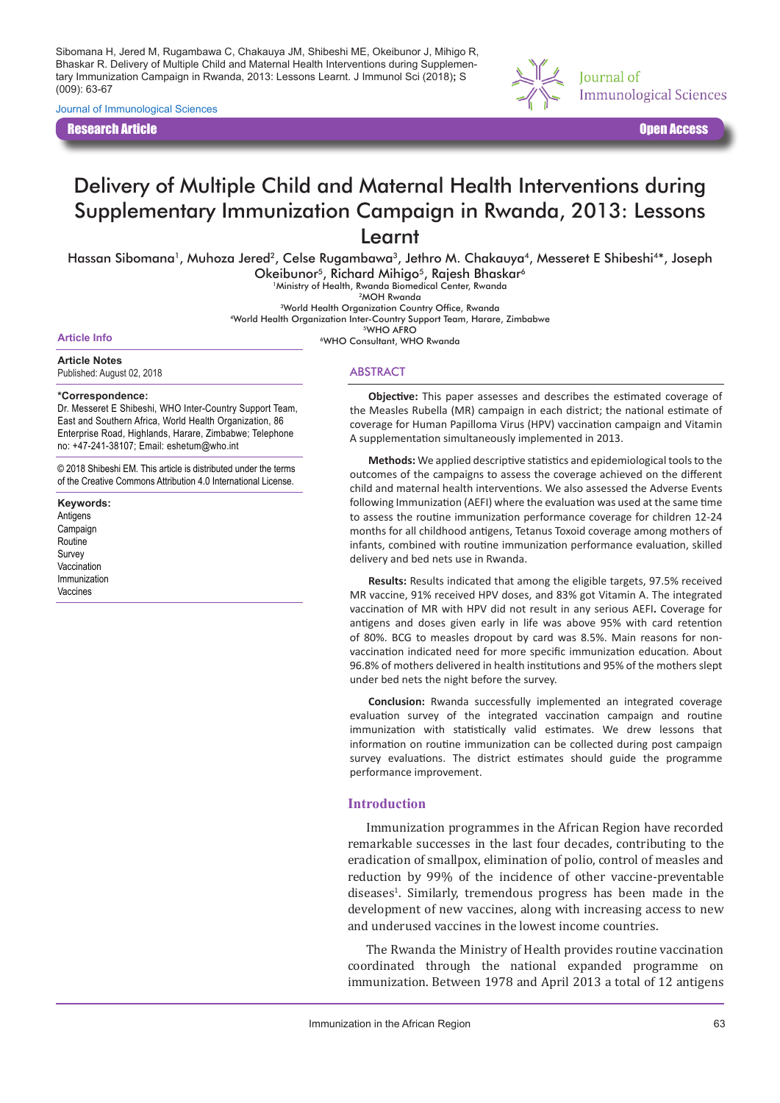Sibomana H, Jered M, Rugambawa C, Chakauya JM, Shibeshi ME, Okeibunor J, Mihigo R, Bhaskar R. Delivery of Multiple Child and Maternal Health Interventions during Supplementary Immunization Campaign in Rwanda, 2013: Lessons Learnt. J Immunol Sci (2018)**;** S (009): 63-67

Journal of Immunological Sciences

Research Article Open Access



# Delivery of Multiple Child and Maternal Health Interventions during Supplementary Immunization Campaign in Rwanda, 2013: Lessons Learnt

Hassan Sibomana<sup>1</sup>, Muhoza Jered<sup>2</sup>, Celse Rugambawa<sup>3</sup>, Jethro M. Chakauya<sup>4</sup>, Messeret E Shibeshi<sup>4\*</sup>, Joseph Okeibunor<sup>5</sup>, Richard Mihigo<sup>5</sup>, Rajesh Bhaskar<sup>6</sup> 1Ministry of Health, Rwanda Biomedical Center, Rwanda

<sup>3</sup>World Health Organization Country Office, Rwanda

4World Health Organization Inter-Country Support Team, Harare, Zimbabwe 5WHO AFRO

Article Info<br> **Article Info** 6WHO Consultant, WHO Rwanda

**Article Notes** Published: August 02, 2018

#### **\*Correspondence:**

Dr. Messeret E Shibeshi, WHO Inter-Country Support Team, East and Southern Africa, World Health Organization, 86 Enterprise Road, Highlands, Harare, Zimbabwe; Telephone no: +47-241-38107; Email: eshetum@who.int

© 2018 Shibeshi EM. This article is distributed under the terms of the Creative Commons Attribution 4.0 International License.

**Keywords:** Antigens Campaign Routine Survey **Vaccination** Immunization Vaccines

ABSTRACT

**Objective:** This paper assesses and describes the estimated coverage of the Measles Rubella (MR) campaign in each district; the national estimate of coverage for Human Papilloma Virus (HPV) vaccination campaign and Vitamin A supplementation simultaneously implemented in 2013.

**Methods:** We applied descriptive statistics and epidemiological tools to the outcomes of the campaigns to assess the coverage achieved on the different child and maternal health interventions. We also assessed the Adverse Events following Immunization (AEFI) where the evaluation was used at the same time to assess the routine immunization performance coverage for children 12-24 months for all childhood antigens, Tetanus Toxoid coverage among mothers of infants, combined with routine immunization performance evaluation, skilled delivery and bed nets use in Rwanda.

**Results:** Results indicated that among the eligible targets, 97.5% received MR vaccine, 91% received HPV doses, and 83% got Vitamin A. The integrated vaccination of MR with HPV did not result in any serious AEFI**.** Coverage for antigens and doses given early in life was above 95% with card retention of 80%. BCG to measles dropout by card was 8.5%. Main reasons for nonvaccination indicated need for more specific immunization education. About 96.8% of mothers delivered in health institutions and 95% of the mothers slept under bed nets the night before the survey.

**Conclusion:** Rwanda successfully implemented an integrated coverage evaluation survey of the integrated vaccination campaign and routine immunization with statistically valid estimates. We drew lessons that information on routine immunization can be collected during post campaign survey evaluations. The district estimates should guide the programme performance improvement.

#### **Introduction**

Immunization programmes in the African Region have recorded remarkable successes in the last four decades, contributing to the eradication of smallpox, elimination of polio, control of measles and reduction by 99% of the incidence of other vaccine-preventable diseases<sup>1</sup>. Similarly, tremendous progress has been made in the development of new vaccines, along with increasing access to new and underused vaccines in the lowest income countries.

The Rwanda the Ministry of Health provides routine vaccination coordinated through the national expanded programme on immunization. Between 1978 and April 2013 a total of 12 antigens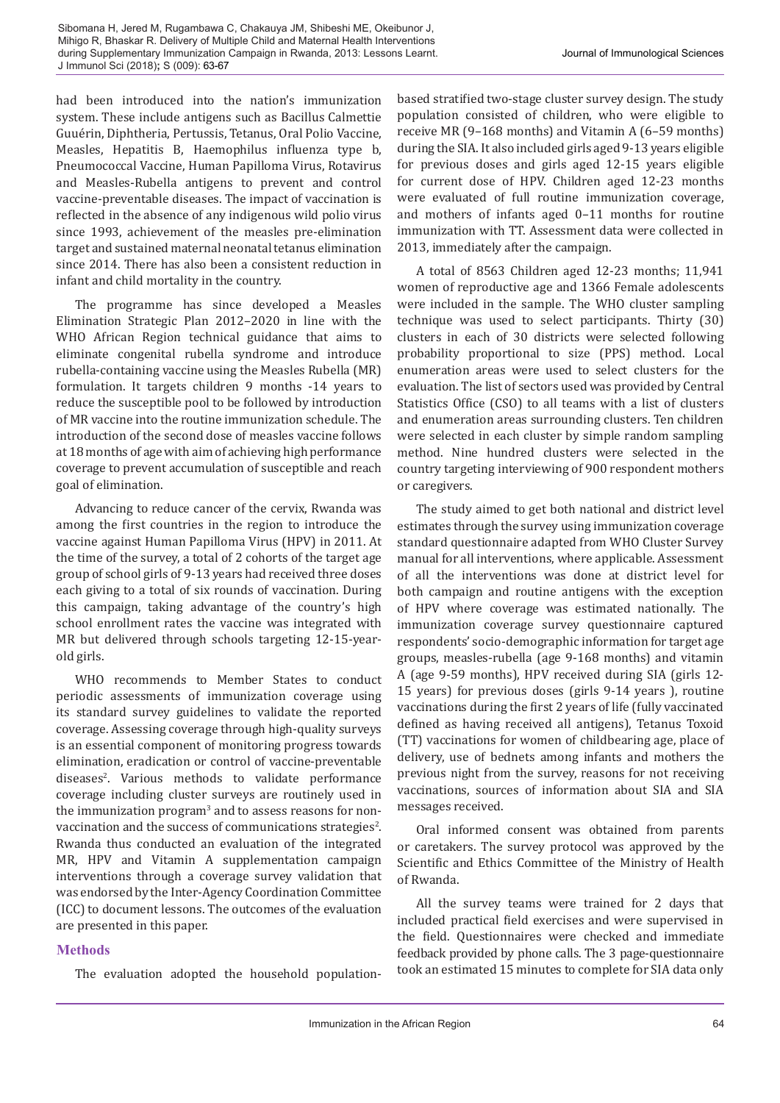had been introduced into the nation's immunization system. These include antigens such as Bacillus Calmettie Guuérin, Diphtheria, Pertussis, Tetanus, Oral Polio Vaccine, Measles, Hepatitis B, Haemophilus influenza type b, Pneumococcal Vaccine, Human Papilloma Virus, Rotavirus and Measles-Rubella antigens to prevent and control vaccine-preventable diseases. The impact of vaccination is reflected in the absence of any indigenous wild polio virus since 1993, achievement of the measles pre-elimination target and sustained maternal neonatal tetanus elimination since 2014. There has also been a consistent reduction in infant and child mortality in the country.

The programme has since developed a Measles Elimination Strategic Plan 2012–2020 in line with the WHO African Region technical guidance that aims to eliminate congenital rubella syndrome and introduce rubella-containing vaccine using the Measles Rubella (MR) formulation. It targets children 9 months -14 years to reduce the susceptible pool to be followed by introduction of MR vaccine into the routine immunization schedule. The introduction of the second dose of measles vaccine follows at 18 months of age with aim of achieving high performance coverage to prevent accumulation of susceptible and reach goal of elimination.

Advancing to reduce cancer of the cervix, Rwanda was among the first countries in the region to introduce the vaccine against Human Papilloma Virus (HPV) in 2011. At the time of the survey, a total of 2 cohorts of the target age group of school girls of 9-13 years had received three doses each giving to a total of six rounds of vaccination. During this campaign, taking advantage of the country's high school enrollment rates the vaccine was integrated with MR but delivered through schools targeting 12-15-yearold girls.

WHO recommends to Member States to conduct periodic assessments of immunization coverage using its standard survey guidelines to validate the reported coverage. Assessing coverage through high-quality surveys is an essential component of monitoring progress towards elimination, eradication or control of vaccine-preventable diseases2 . Various methods to validate performance coverage including cluster surveys are routinely used in the immunization program<sup>3</sup> and to assess reasons for nonvaccination and the success of communications strategies $^{2}$ . Rwanda thus conducted an evaluation of the integrated MR, HPV and Vitamin A supplementation campaign interventions through a coverage survey validation that was endorsed by the Inter-Agency Coordination Committee (ICC) to document lessons. The outcomes of the evaluation are presented in this paper.

#### **Methods**

The evaluation adopted the household population-

based stratified two-stage cluster survey design. The study population consisted of children, who were eligible to receive MR (9–168 months) and Vitamin A (6–59 months) during the SIA. It also included girls aged 9-13 years eligible for previous doses and girls aged 12-15 years eligible for current dose of HPV. Children aged 12-23 months were evaluated of full routine immunization coverage, and mothers of infants aged 0–11 months for routine immunization with TT. Assessment data were collected in 2013, immediately after the campaign.

A total of 8563 Children aged 12-23 months; 11,941 women of reproductive age and 1366 Female adolescents were included in the sample. The WHO cluster sampling technique was used to select participants. Thirty (30) clusters in each of 30 districts were selected following probability proportional to size (PPS) method. Local enumeration areas were used to select clusters for the evaluation. The list of sectors used was provided by Central Statistics Office (CSO) to all teams with a list of clusters and enumeration areas surrounding clusters. Ten children were selected in each cluster by simple random sampling method. Nine hundred clusters were selected in the country targeting interviewing of 900 respondent mothers or caregivers.

The study aimed to get both national and district level estimates through the survey using immunization coverage standard questionnaire adapted from WHO Cluster Survey manual for all interventions, where applicable. Assessment of all the interventions was done at district level for both campaign and routine antigens with the exception of HPV where coverage was estimated nationally. The immunization coverage survey questionnaire captured respondents' socio-demographic information for target age groups, measles-rubella (age 9-168 months) and vitamin A (age 9-59 months), HPV received during SIA (girls 12- 15 years) for previous doses (girls 9-14 years ), routine vaccinations during the first 2 years of life (fully vaccinated defined as having received all antigens), Tetanus Toxoid (TT) vaccinations for women of childbearing age, place of delivery, use of bednets among infants and mothers the previous night from the survey, reasons for not receiving vaccinations, sources of information about SIA and SIA messages received.

Oral informed consent was obtained from parents or caretakers. The survey protocol was approved by the Scientific and Ethics Committee of the Ministry of Health of Rwanda.

All the survey teams were trained for 2 days that included practical field exercises and were supervised in the field. Questionnaires were checked and immediate feedback provided by phone calls. The 3 page-questionnaire took an estimated 15 minutes to complete for SIA data only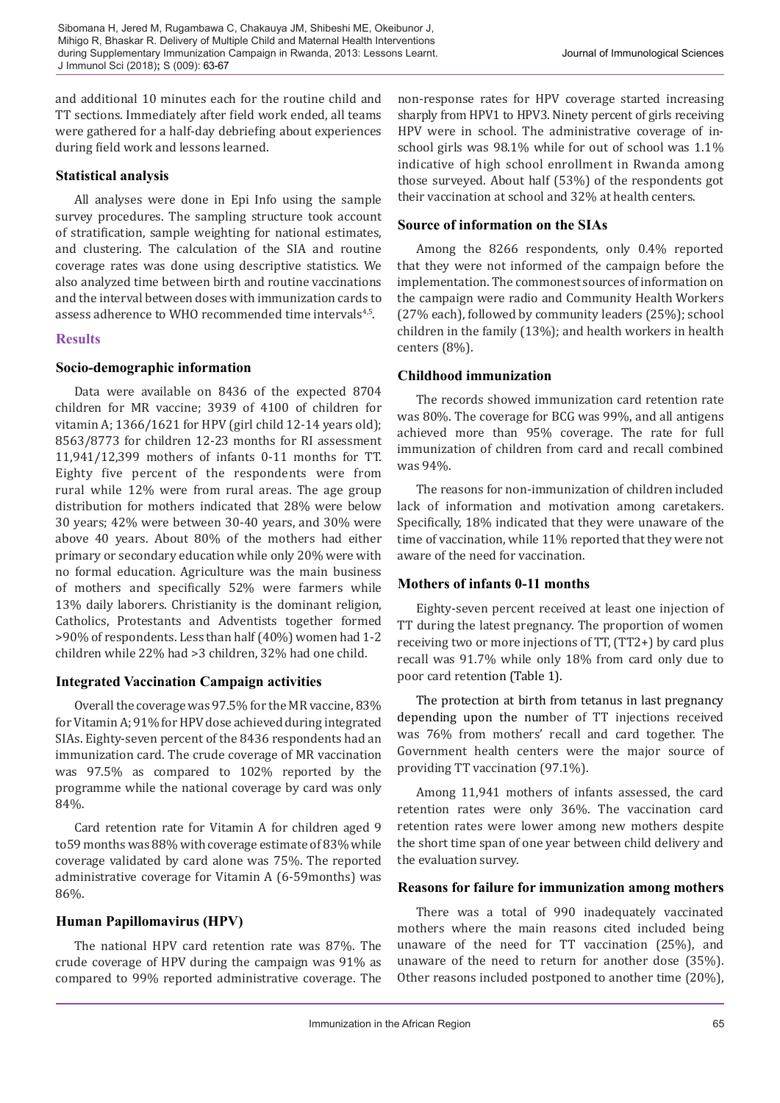and additional 10 minutes each for the routine child and TT sections. Immediately after field work ended, all teams were gathered for a half-day debriefing about experiences during field work and lessons learned.

#### **Statistical analysis**

All analyses were done in Epi Info using the sample survey procedures. The sampling structure took account of stratification, sample weighting for national estimates, and clustering. The calculation of the SIA and routine coverage rates was done using descriptive statistics. We also analyzed time between birth and routine vaccinations and the interval between doses with immunization cards to assess adherence to WHO recommended time intervals<sup>4,5</sup>.

### **Results**

### **Socio-demographic information**

Data were available on 8436 of the expected 8704 children for MR vaccine; 3939 of 4100 of children for vitamin A; 1366/1621 for HPV (girl child 12-14 years old); 8563/8773 for children 12-23 months for RI assessment 11,941/12,399 mothers of infants 0-11 months for TT. Eighty five percent of the respondents were from rural while 12% were from rural areas. The age group distribution for mothers indicated that 28% were below 30 years; 42% were between 30-40 years, and 30% were above 40 years. About 80% of the mothers had either primary or secondary education while only 20% were with no formal education. Agriculture was the main business of mothers and specifically 52% were farmers while 13% daily laborers. Christianity is the dominant religion, Catholics, Protestants and Adventists together formed >90% of respondents. Less than half (40%) women had 1-2 children while 22% had >3 children, 32% had one child.

## **Integrated Vaccination Campaign activities**

Overall the coverage was 97.5% for the MR vaccine, 83% for Vitamin A; 91% for HPV dose achieved during integrated SIAs. Eighty-seven percent of the 8436 respondents had an immunization card. The crude coverage of MR vaccination was 97.5% as compared to 102% reported by the programme while the national coverage by card was only 84%.

Card retention rate for Vitamin A for children aged 9 to59 months was 88% with coverage estimate of 83% while coverage validated by card alone was 75%. The reported administrative coverage for Vitamin A (6-59months) was 86%.

## **Human Papillomavirus (HPV)**

The national HPV card retention rate was 87%. The crude coverage of HPV during the campaign was 91% as compared to 99% reported administrative coverage. The non-response rates for HPV coverage started increasing sharply from HPV1 to HPV3. Ninety percent of girls receiving HPV were in school. The administrative coverage of inschool girls was 98.1% while for out of school was 1.1% indicative of high school enrollment in Rwanda among those surveyed. About half (53%) of the respondents got their vaccination at school and 32% at health centers.

## **Source of information on the SIAs**

Among the 8266 respondents, only 0.4% reported that they were not informed of the campaign before the implementation. The commonest sources of information on the campaign were radio and Community Health Workers (27% each), followed by community leaders (25%); school children in the family (13%); and health workers in health centers (8%).

### **Childhood immunization**

The records showed immunization card retention rate was 80%. The coverage for BCG was 99%, and all antigens achieved more than 95% coverage. The rate for full immunization of children from card and recall combined was 94%.

The reasons for non-immunization of children included lack of information and motivation among caretakers. Specifically, 18% indicated that they were unaware of the time of vaccination, while 11% reported that they were not aware of the need for vaccination.

#### **Mothers of infants 0-11 months**

Eighty-seven percent received at least one injection of TT during the latest pregnancy. The proportion of women receiving two or more injections of TT, (TT2+) by card plus recall was 91.7% while only 18% from card only due to poor card retention (Table 1).

The protection at birth from tetanus in last pregnancy depending upon the number of TT injections received was 76% from mothers' recall and card together. The Government health centers were the major source of providing TT vaccination (97.1%).

Among 11,941 mothers of infants assessed, the card retention rates were only 36%. The vaccination card retention rates were lower among new mothers despite the short time span of one year between child delivery and the evaluation survey.

#### **Reasons for failure for immunization among mothers**

There was a total of 990 inadequately vaccinated mothers where the main reasons cited included being unaware of the need for TT vaccination (25%), and unaware of the need to return for another dose (35%). Other reasons included postponed to another time (20%),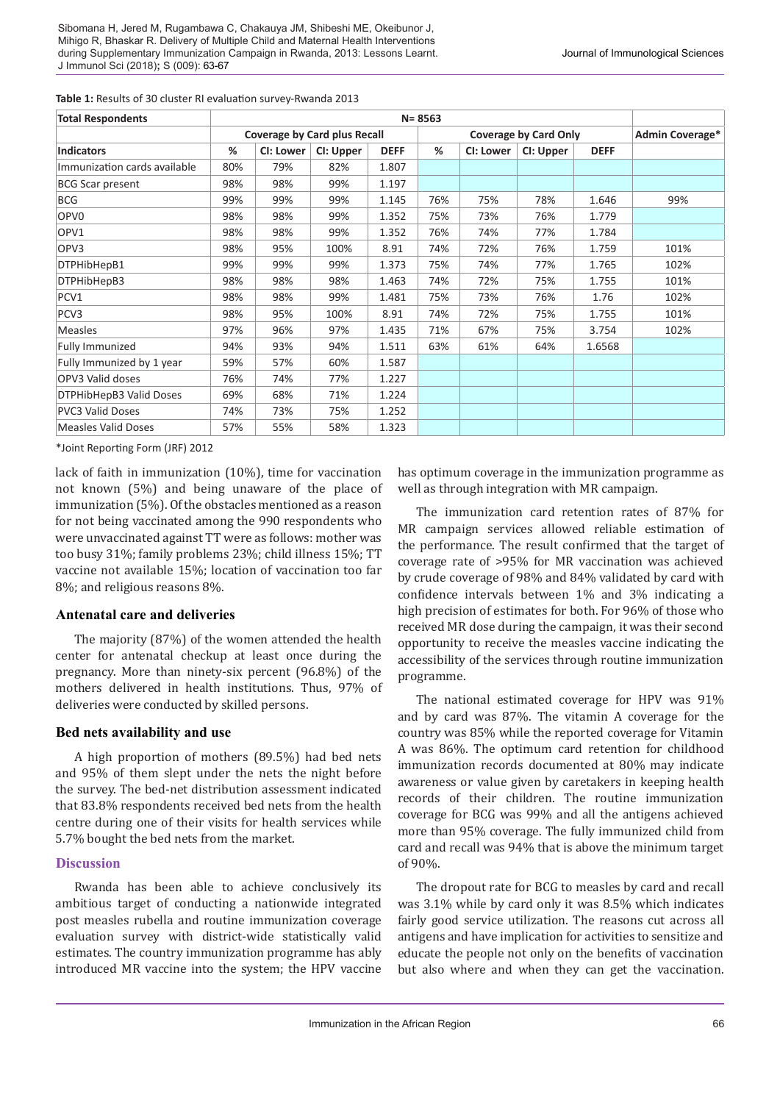**Table 1:** Results of 30 cluster RI evaluation survey-Rwanda 2013

| <b>Total Respondents</b>     | $N = 8563$                          |           |           |             |                              |           |           |             |                        |
|------------------------------|-------------------------------------|-----------|-----------|-------------|------------------------------|-----------|-----------|-------------|------------------------|
|                              | <b>Coverage by Card plus Recall</b> |           |           |             | <b>Coverage by Card Only</b> |           |           |             | <b>Admin Coverage*</b> |
| <b>Indicators</b>            | %                                   | CI: Lower | CI: Upper | <b>DEFF</b> | %                            | CI: Lower | CI: Upper | <b>DEFF</b> |                        |
| Immunization cards available | 80%                                 | 79%       | 82%       | 1.807       |                              |           |           |             |                        |
| <b>BCG Scar present</b>      | 98%                                 | 98%       | 99%       | 1.197       |                              |           |           |             |                        |
| <b>BCG</b>                   | 99%                                 | 99%       | 99%       | 1.145       | 76%                          | 75%       | 78%       | 1.646       | 99%                    |
| OPV <sub>0</sub>             | 98%                                 | 98%       | 99%       | 1.352       | 75%                          | 73%       | 76%       | 1.779       |                        |
| OPV1                         | 98%                                 | 98%       | 99%       | 1.352       | 76%                          | 74%       | 77%       | 1.784       |                        |
| OPV3                         | 98%                                 | 95%       | 100%      | 8.91        | 74%                          | 72%       | 76%       | 1.759       | 101%                   |
| DTPHibHepB1                  | 99%                                 | 99%       | 99%       | 1.373       | 75%                          | 74%       | 77%       | 1.765       | 102%                   |
| DTPHibHepB3                  | 98%                                 | 98%       | 98%       | 1.463       | 74%                          | 72%       | 75%       | 1.755       | 101%                   |
| PCV1                         | 98%                                 | 98%       | 99%       | 1.481       | 75%                          | 73%       | 76%       | 1.76        | 102%                   |
| PCV <sub>3</sub>             | 98%                                 | 95%       | 100%      | 8.91        | 74%                          | 72%       | 75%       | 1.755       | 101%                   |
| <b>Measles</b>               | 97%                                 | 96%       | 97%       | 1.435       | 71%                          | 67%       | 75%       | 3.754       | 102%                   |
| Fully Immunized              | 94%                                 | 93%       | 94%       | 1.511       | 63%                          | 61%       | 64%       | 1.6568      |                        |
| Fully Immunized by 1 year    | 59%                                 | 57%       | 60%       | 1.587       |                              |           |           |             |                        |
| OPV3 Valid doses             | 76%                                 | 74%       | 77%       | 1.227       |                              |           |           |             |                        |
| DTPHibHepB3 Valid Doses      | 69%                                 | 68%       | 71%       | 1.224       |                              |           |           |             |                        |
| <b>PVC3 Valid Doses</b>      | 74%                                 | 73%       | 75%       | 1.252       |                              |           |           |             |                        |
| <b>Measles Valid Doses</b>   | 57%                                 | 55%       | 58%       | 1.323       |                              |           |           |             |                        |

\*Joint Reporting Form (JRF) 2012

lack of faith in immunization (10%), time for vaccination not known (5%) and being unaware of the place of immunization (5%). Of the obstacles mentioned as a reason for not being vaccinated among the 990 respondents who were unvaccinated against TT were as follows: mother was too busy 31%; family problems 23%; child illness 15%; TT vaccine not available 15%; location of vaccination too far 8%; and religious reasons 8%.

#### **Antenatal care and deliveries**

The majority (87%) of the women attended the health center for antenatal checkup at least once during the pregnancy. More than ninety-six percent (96.8%) of the mothers delivered in health institutions. Thus, 97% of deliveries were conducted by skilled persons.

#### **Bed nets availability and use**

A high proportion of mothers (89.5%) had bed nets and 95% of them slept under the nets the night before the survey. The bed-net distribution assessment indicated that 83.8% respondents received bed nets from the health centre during one of their visits for health services while 5.7% bought the bed nets from the market.

#### **Discussion**

Rwanda has been able to achieve conclusively its ambitious target of conducting a nationwide integrated post measles rubella and routine immunization coverage evaluation survey with district-wide statistically valid estimates. The country immunization programme has ably introduced MR vaccine into the system; the HPV vaccine

has optimum coverage in the immunization programme as well as through integration with MR campaign.

The immunization card retention rates of 87% for MR campaign services allowed reliable estimation of the performance. The result confirmed that the target of coverage rate of >95% for MR vaccination was achieved by crude coverage of 98% and 84% validated by card with confidence intervals between 1% and 3% indicating a high precision of estimates for both. For 96% of those who received MR dose during the campaign, it was their second opportunity to receive the measles vaccine indicating the accessibility of the services through routine immunization programme.

The national estimated coverage for HPV was 91% and by card was 87%. The vitamin A coverage for the country was 85% while the reported coverage for Vitamin A was 86%. The optimum card retention for childhood immunization records documented at 80% may indicate awareness or value given by caretakers in keeping health records of their children. The routine immunization coverage for BCG was 99% and all the antigens achieved more than 95% coverage. The fully immunized child from card and recall was 94% that is above the minimum target of 90%.

The dropout rate for BCG to measles by card and recall was 3.1% while by card only it was 8.5% which indicates fairly good service utilization. The reasons cut across all antigens and have implication for activities to sensitize and educate the people not only on the benefits of vaccination but also where and when they can get the vaccination.